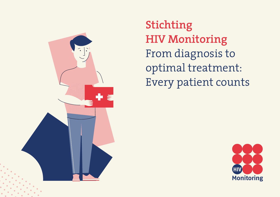

**Stichting HIV Monitoring** From diagnosis to optimal treatment: Every patient counts

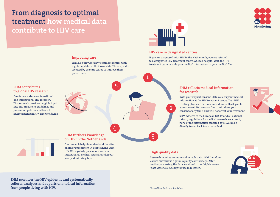# **From diagnosis to optimal treatment how medical data contribute to HIV care**



## **HIV care in designated centres**

2

1

If you are diagnosed with HIV in the Netherlands, you are referred to a designated HIV treatment centre. At each hospital visit, the HIV treatment team records your medical information in your medical file.

## **SHM contributes to global HIV research**

and international HIV research. This research provides tangible input into HIV treatment guidelines and prevention policies, and leads to

# Our data are also used in national

improvements in HIV care worldwide.

### **SHM furthers knowledge on HIV in the Netherlands**

**Improving care**

patient care.

SHM also provides HIV treatment centres with regular updates of their own data. These updates are used by the care teams to improve their

5

4

Our research helps to understand the effect of lifelong treatment in people living with HIV. We regularly present our work in international medical journals and in our yearly Monitoring Report.

## **SHM collects medical information for research**

With your explicit consent, SHM collects your medical information at the HIV treatment centre. Your HIV treating physician or nurse consultant will ask you for your consent. You are also free to withdraw your consent at any time. This will not affect your treatment.

SHM adheres to the European GDPR\* and all national privacy regulations for medical research. As a result, none of the information collected by SHM can be directly traced back to an individual.

# **High quality data**

3

Research requires accurate and reliable data. SHM therefore carries out various rigorous quality control steps. After further processing, the data are stored in our highly secure 'data warehouse', ready for use in research.



**SHM monitors the HIV epidemic and systematically collects, analyses and reports on medical information from people living with HIV.** *\*General Data Protection Regulation*